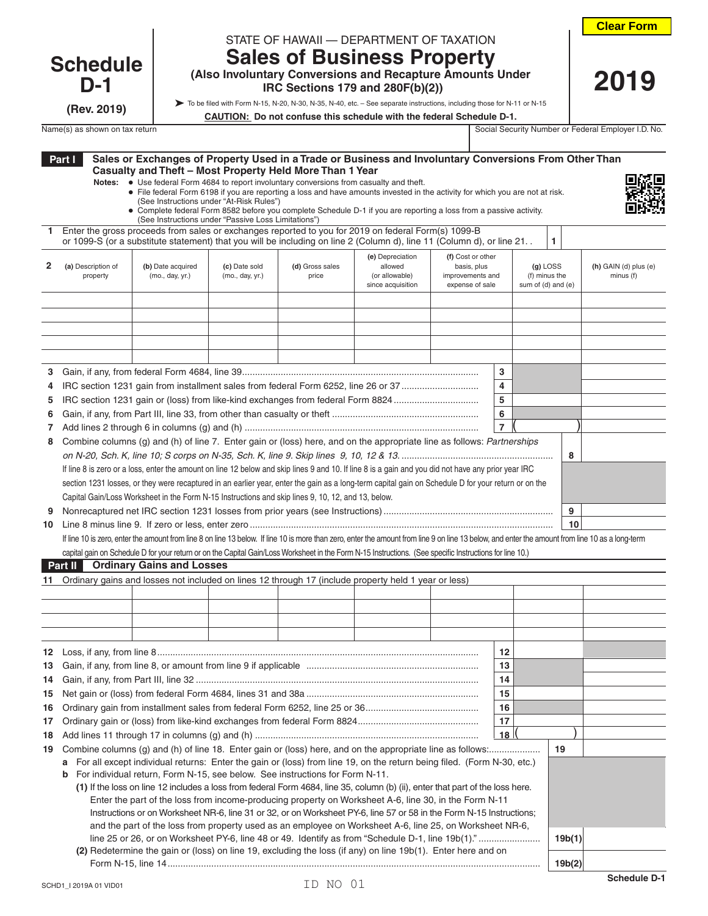**2019**

## **Schedule D-1**

**(Rev. 2019)**

| STATE OF HAWAII - DEPARTMENT OF TAXATION |  |
|------------------------------------------|--|

**(Also Involuntary Conversions and Recapture Amounts Under IRC Sections 179 and 280F(b)(2))**

## **Sales of Business Property**

To be filed with Form N-15, N-20, N-30, N-35, N-40, etc. – See separate instructions, including those for N-11 or N-15

| CAUTION: Do not confuse this schedule with the federal Schedule D-1. |  |
|----------------------------------------------------------------------|--|
|                                                                      |  |

| Name(s) as<br>n tax return<br>் as shown பட | Security Number or<br>social<br>. Security : | <sub>n</sub><br>D. No. .<br>Emplover<br>Federal |
|---------------------------------------------|----------------------------------------------|-------------------------------------------------|

|        | Part I                         | Sales or Exchanges of Property Used in a Trade or Business and Involuntary Conversions From Other Than<br>Casualty and Theft - Most Property Held More Than 1 Year                                                                                                                                                                                                                                      |                                          |                          |                                                                    |                                                                         |                |                                                   |                                      |
|--------|--------------------------------|---------------------------------------------------------------------------------------------------------------------------------------------------------------------------------------------------------------------------------------------------------------------------------------------------------------------------------------------------------------------------------------------------------|------------------------------------------|--------------------------|--------------------------------------------------------------------|-------------------------------------------------------------------------|----------------|---------------------------------------------------|--------------------------------------|
|        |                                | Notes: • Use federal Form 4684 to report involuntary conversions from casualty and theft.<br>• File federal Form 6198 if you are reporting a loss and have amounts invested in the activity for which you are not at risk.<br>• Complete federal Form 8582 before you complete Schedule D-1 if you are reporting a loss from a passive activity.<br>(See Instructions under "Passive Loss Limitations") | (See Instructions under "At-Risk Rules") |                          |                                                                    |                                                                         |                |                                                   |                                      |
| 1.     |                                | Enter the gross proceeds from sales or exchanges reported to you for 2019 on federal Form(s) 1099-B<br>or 1099-S (or a substitute statement) that you will be including on line 2 (Column d), line 11 (Column d), or line 21.                                                                                                                                                                           |                                          |                          |                                                                    |                                                                         |                | 1                                                 |                                      |
| 2      | (a) Description of<br>property | (b) Date acquired<br>(mo., day, yr.)                                                                                                                                                                                                                                                                                                                                                                    | (c) Date sold<br>(mo., day, yr.)         | (d) Gross sales<br>price | (e) Depreciation<br>allowed<br>(or allowable)<br>since acquisition | (f) Cost or other<br>basis, plus<br>improvements and<br>expense of sale |                | $(g)$ LOSS<br>(f) minus the<br>sum of (d) and (e) | $(h)$ GAIN (d) plus (e)<br>minus (f) |
|        |                                |                                                                                                                                                                                                                                                                                                                                                                                                         |                                          |                          |                                                                    |                                                                         |                |                                                   |                                      |
|        |                                |                                                                                                                                                                                                                                                                                                                                                                                                         |                                          |                          |                                                                    |                                                                         |                |                                                   |                                      |
| 3<br>4 |                                |                                                                                                                                                                                                                                                                                                                                                                                                         |                                          |                          |                                                                    |                                                                         | 3<br>4         |                                                   |                                      |
| 5      |                                | IRC section 1231 gain or (loss) from like-kind exchanges from federal Form 8824                                                                                                                                                                                                                                                                                                                         |                                          |                          |                                                                    |                                                                         | 5              |                                                   |                                      |
| 6      |                                |                                                                                                                                                                                                                                                                                                                                                                                                         |                                          |                          |                                                                    |                                                                         | 6              |                                                   |                                      |
| 7      |                                |                                                                                                                                                                                                                                                                                                                                                                                                         |                                          |                          |                                                                    |                                                                         | $\overline{7}$ |                                                   |                                      |
| 8      |                                | Combine columns (g) and (h) of line 7. Enter gain or (loss) here, and on the appropriate line as follows: Partnerships                                                                                                                                                                                                                                                                                  |                                          |                          |                                                                    |                                                                         |                | 8                                                 |                                      |
|        |                                | If line 8 is zero or a loss, enter the amount on line 12 below and skip lines 9 and 10. If line 8 is a gain and you did not have any prior year IRC                                                                                                                                                                                                                                                     |                                          |                          |                                                                    |                                                                         |                |                                                   |                                      |
|        |                                | section 1231 losses, or they were recaptured in an earlier year, enter the gain as a long-term capital gain on Schedule D for your return or on the                                                                                                                                                                                                                                                     |                                          |                          |                                                                    |                                                                         |                |                                                   |                                      |
|        |                                | Capital Gain/Loss Worksheet in the Form N-15 Instructions and skip lines 9, 10, 12, and 13, below.                                                                                                                                                                                                                                                                                                      |                                          |                          |                                                                    |                                                                         |                |                                                   |                                      |
| 9      |                                |                                                                                                                                                                                                                                                                                                                                                                                                         |                                          |                          |                                                                    |                                                                         |                | 9                                                 |                                      |
| 10     |                                |                                                                                                                                                                                                                                                                                                                                                                                                         |                                          |                          |                                                                    |                                                                         |                | 10                                                |                                      |
|        |                                | If line 10 is zero, enter the amount from line 8 on line 13 below. If line 10 is more than zero, enter the amount from line 9 on line 13 below, and enter the amount from line 10 as a long-term                                                                                                                                                                                                        |                                          |                          |                                                                    |                                                                         |                |                                                   |                                      |
|        |                                | capital gain on Schedule D for your return or on the Capital Gain/Loss Worksheet in the Form N-15 Instructions. (See specific Instructions for line 10.)                                                                                                                                                                                                                                                |                                          |                          |                                                                    |                                                                         |                |                                                   |                                      |
|        | Part II                        | <b>Ordinary Gains and Losses</b>                                                                                                                                                                                                                                                                                                                                                                        |                                          |                          |                                                                    |                                                                         |                |                                                   |                                      |
| 11     |                                | Ordinary gains and losses not included on lines 12 through 17 (include property held 1 year or less)                                                                                                                                                                                                                                                                                                    |                                          |                          |                                                                    |                                                                         |                |                                                   |                                      |
|        |                                |                                                                                                                                                                                                                                                                                                                                                                                                         |                                          |                          |                                                                    |                                                                         |                |                                                   |                                      |
|        |                                |                                                                                                                                                                                                                                                                                                                                                                                                         |                                          |                          |                                                                    |                                                                         |                |                                                   |                                      |
|        |                                |                                                                                                                                                                                                                                                                                                                                                                                                         |                                          |                          |                                                                    |                                                                         |                |                                                   |                                      |
|        |                                |                                                                                                                                                                                                                                                                                                                                                                                                         |                                          |                          |                                                                    |                                                                         |                |                                                   |                                      |
|        |                                |                                                                                                                                                                                                                                                                                                                                                                                                         |                                          |                          |                                                                    |                                                                         | 12<br>13       |                                                   |                                      |
| 14     |                                |                                                                                                                                                                                                                                                                                                                                                                                                         |                                          |                          |                                                                    |                                                                         | 14             |                                                   |                                      |
| 15     |                                |                                                                                                                                                                                                                                                                                                                                                                                                         |                                          |                          |                                                                    |                                                                         | 15             |                                                   |                                      |
| 16     |                                |                                                                                                                                                                                                                                                                                                                                                                                                         |                                          |                          |                                                                    |                                                                         | 16             |                                                   |                                      |
| 17     |                                |                                                                                                                                                                                                                                                                                                                                                                                                         |                                          |                          |                                                                    |                                                                         | 17             |                                                   |                                      |
| 18     |                                |                                                                                                                                                                                                                                                                                                                                                                                                         |                                          |                          |                                                                    |                                                                         | 18             |                                                   |                                      |
| 19     |                                |                                                                                                                                                                                                                                                                                                                                                                                                         |                                          |                          |                                                                    |                                                                         |                | 19                                                |                                      |
|        | a                              | For all except individual returns: Enter the gain or (loss) from line 19, on the return being filed. (Form N-30, etc.)                                                                                                                                                                                                                                                                                  |                                          |                          |                                                                    |                                                                         |                |                                                   |                                      |
|        | b                              | For individual return, Form N-15, see below. See instructions for Form N-11.                                                                                                                                                                                                                                                                                                                            |                                          |                          |                                                                    |                                                                         |                |                                                   |                                      |
|        |                                | (1) If the loss on line 12 includes a loss from federal Form 4684, line 35, column (b) (ii), enter that part of the loss here.                                                                                                                                                                                                                                                                          |                                          |                          |                                                                    |                                                                         |                |                                                   |                                      |
|        |                                | Enter the part of the loss from income-producing property on Worksheet A-6, line 30, in the Form N-11                                                                                                                                                                                                                                                                                                   |                                          |                          |                                                                    |                                                                         |                |                                                   |                                      |
|        |                                | Instructions or on Worksheet NR-6, line 31 or 32, or on Worksheet PY-6, line 57 or 58 in the Form N-15 Instructions;                                                                                                                                                                                                                                                                                    |                                          |                          |                                                                    |                                                                         |                |                                                   |                                      |
|        |                                | and the part of the loss from property used as an employee on Worksheet A-6, line 25, on Worksheet NR-6,                                                                                                                                                                                                                                                                                                |                                          |                          |                                                                    |                                                                         |                | 19b(1)                                            |                                      |
|        |                                | (2) Redetermine the gain or (loss) on line 19, excluding the loss (if any) on line 19b(1). Enter here and on                                                                                                                                                                                                                                                                                            |                                          |                          |                                                                    |                                                                         |                |                                                   |                                      |
|        |                                |                                                                                                                                                                                                                                                                                                                                                                                                         |                                          |                          |                                                                    |                                                                         |                | 19b(2)                                            |                                      |